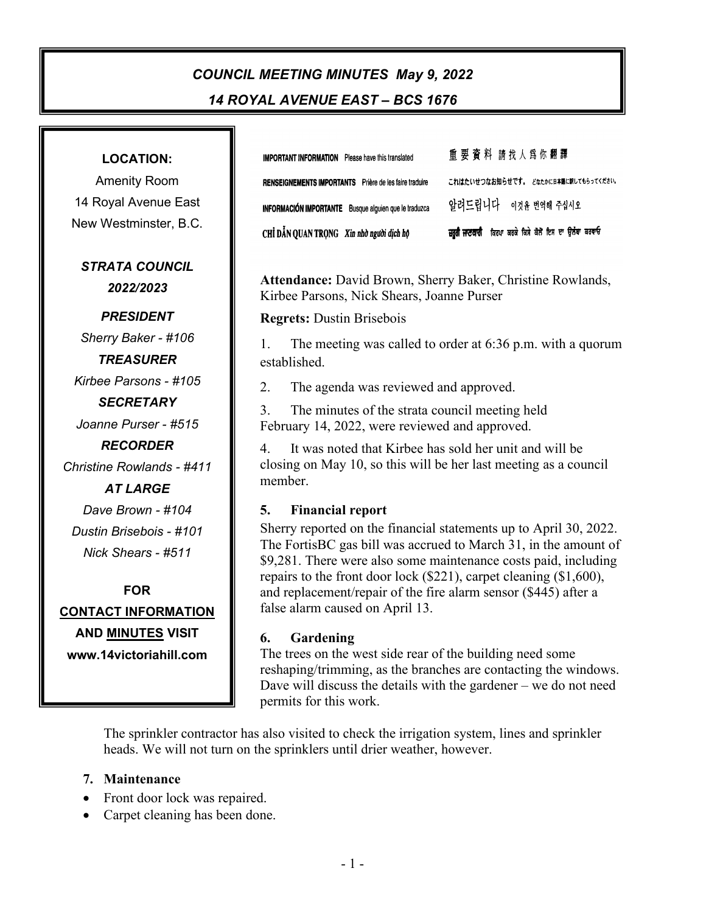# *COUNCIL MEETING MINUTES May 9, 2022 14 ROYAL AVENUE EAST – BCS 1676*

| <b>LOCATION:</b>           |  |
|----------------------------|--|
| <b>Amenity Room</b>        |  |
| 14 Royal Avenue East       |  |
| New Westminster, B.C.      |  |
| <b>STRATA COUNCIL</b>      |  |
| 2022/2023                  |  |
| <b>PRESIDENT</b>           |  |
| Sherry Baker - #106        |  |
| <b>TREASURER</b>           |  |
| Kirbee Parsons - #105      |  |
| <b>SECRETARY</b>           |  |
| Joanne Purser - #515       |  |
| <b>RECORDER</b>            |  |
| Christine Rowlands - #411  |  |
| <b>AT LARGE</b>            |  |
| Dave Brown - #104          |  |
| Dustin Brisebois - #101    |  |
| Nick Shears - #511         |  |
| FOR                        |  |
| <u>CONTACT INFORMATION</u> |  |
| <b>AND MINUTES VISIT</b>   |  |
| www.14victoriahill.com     |  |

重要資料 請找人為你翻譯 **IMPORTANT INFORMATION** Please have this translated これはたいせつなお知らせです。 どなたかに日本語に訳してもらってください。 RENSEIGNEMENTS IMPORTANTS Prière de les faire traduire 알려드립니다 \_ 이것을 번역해 주십시오 INFORMACIÓN IMPORTANTE Busque alguien que le traduzca ਜ਼ਰੂਰੀ ਜਾਣਕਾਰੀ ਕਿਰਪਾ ਕਰਕੇ ਕਿਸੇ ਕੋਲੋਂ ਇਸ ਦਾ ਉਲੱਥਾ ਕਰਵਾਓ CHỈ DẦN QUAN TRỌNG Xin nhờ người dịch hộ

**Attendance:** David Brown, Sherry Baker, Christine Rowlands, Kirbee Parsons, Nick Shears, Joanne Purser

**Regrets:** Dustin Brisebois

1. The meeting was called to order at 6:36 p.m. with a quorum established.

2. The agenda was reviewed and approved.

3. The minutes of the strata council meeting held February 14, 2022, were reviewed and approved.

4. It was noted that Kirbee has sold her unit and will be closing on May 10, so this will be her last meeting as a council member.

#### **5. Financial report**

Sherry reported on the financial statements up to April 30, 2022. The FortisBC gas bill was accrued to March 31, in the amount of \$9,281. There were also some maintenance costs paid, including repairs to the front door lock (\$221), carpet cleaning (\$1,600), and replacement/repair of the fire alarm sensor (\$445) after a false alarm caused on April 13.

#### **6. Gardening**

The trees on the west side rear of the building need some reshaping/trimming, as the branches are contacting the windows. Dave will discuss the details with the gardener – we do not need permits for this work.

The sprinkler contractor has also visited to check the irrigation system, lines and sprinkler heads. We will not turn on the sprinklers until drier weather, however.

#### **7. Maintenance**

- Front door lock was repaired.
- Carpet cleaning has been done.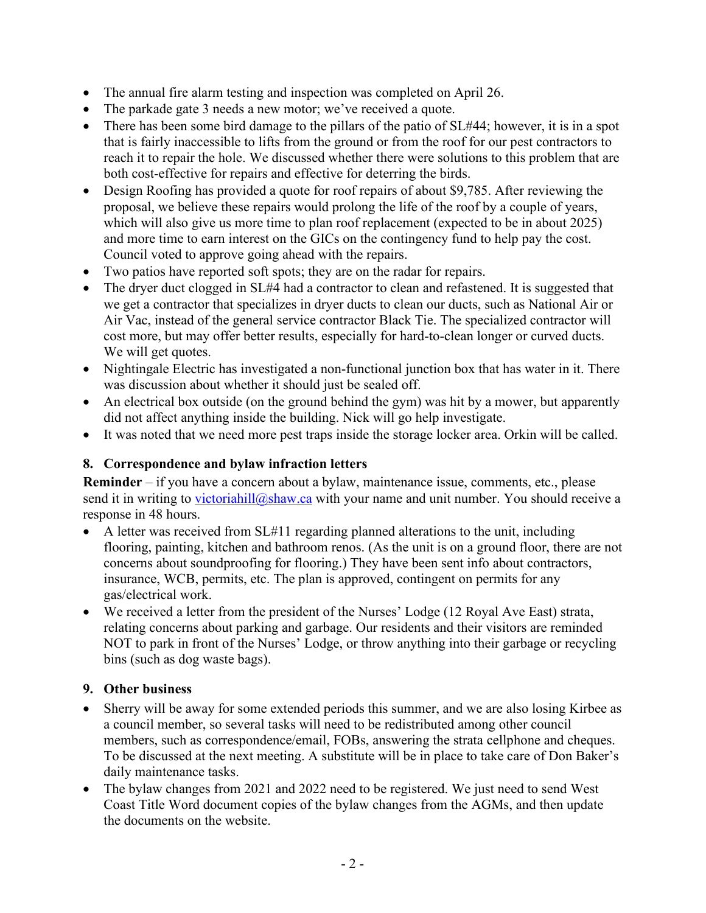- The annual fire alarm testing and inspection was completed on April 26.
- The parkade gate 3 needs a new motor; we've received a quote.
- There has been some bird damage to the pillars of the patio of  $SL#44$ ; however, it is in a spot that is fairly inaccessible to lifts from the ground or from the roof for our pest contractors to reach it to repair the hole. We discussed whether there were solutions to this problem that are both cost-effective for repairs and effective for deterring the birds.
- Design Roofing has provided a quote for roof repairs of about \$9,785. After reviewing the proposal, we believe these repairs would prolong the life of the roof by a couple of years, which will also give us more time to plan roof replacement (expected to be in about 2025) and more time to earn interest on the GICs on the contingency fund to help pay the cost. Council voted to approve going ahead with the repairs.
- Two patios have reported soft spots; they are on the radar for repairs.
- The dryer duct clogged in SL#4 had a contractor to clean and refastened. It is suggested that we get a contractor that specializes in dryer ducts to clean our ducts, such as National Air or Air Vac, instead of the general service contractor Black Tie. The specialized contractor will cost more, but may offer better results, especially for hard-to-clean longer or curved ducts. We will get quotes.
- Nightingale Electric has investigated a non-functional junction box that has water in it. There was discussion about whether it should just be sealed off.
- An electrical box outside (on the ground behind the gym) was hit by a mower, but apparently did not affect anything inside the building. Nick will go help investigate.
- It was noted that we need more pest traps inside the storage locker area. Orkin will be called.

### **8. Correspondence and bylaw infraction letters**

**Reminder** – if you have a concern about a bylaw, maintenance issue, comments, etc., please send it in writing to [victoriahill@shaw.ca](mailto:victoriahill@shaw.ca) with your name and unit number. You should receive a response in 48 hours.

- A letter was received from  $SL#11$  regarding planned alterations to the unit, including flooring, painting, kitchen and bathroom renos. (As the unit is on a ground floor, there are not concerns about soundproofing for flooring.) They have been sent info about contractors, insurance, WCB, permits, etc. The plan is approved, contingent on permits for any gas/electrical work.
- We received a letter from the president of the Nurses' Lodge (12 Royal Ave East) strata, relating concerns about parking and garbage. Our residents and their visitors are reminded NOT to park in front of the Nurses' Lodge, or throw anything into their garbage or recycling bins (such as dog waste bags).

#### **9. Other business**

- Sherry will be away for some extended periods this summer, and we are also losing Kirbee as a council member, so several tasks will need to be redistributed among other council members, such as correspondence/email, FOBs, answering the strata cellphone and cheques. To be discussed at the next meeting. A substitute will be in place to take care of Don Baker's daily maintenance tasks.
- The bylaw changes from 2021 and 2022 need to be registered. We just need to send West Coast Title Word document copies of the bylaw changes from the AGMs, and then update the documents on the website.